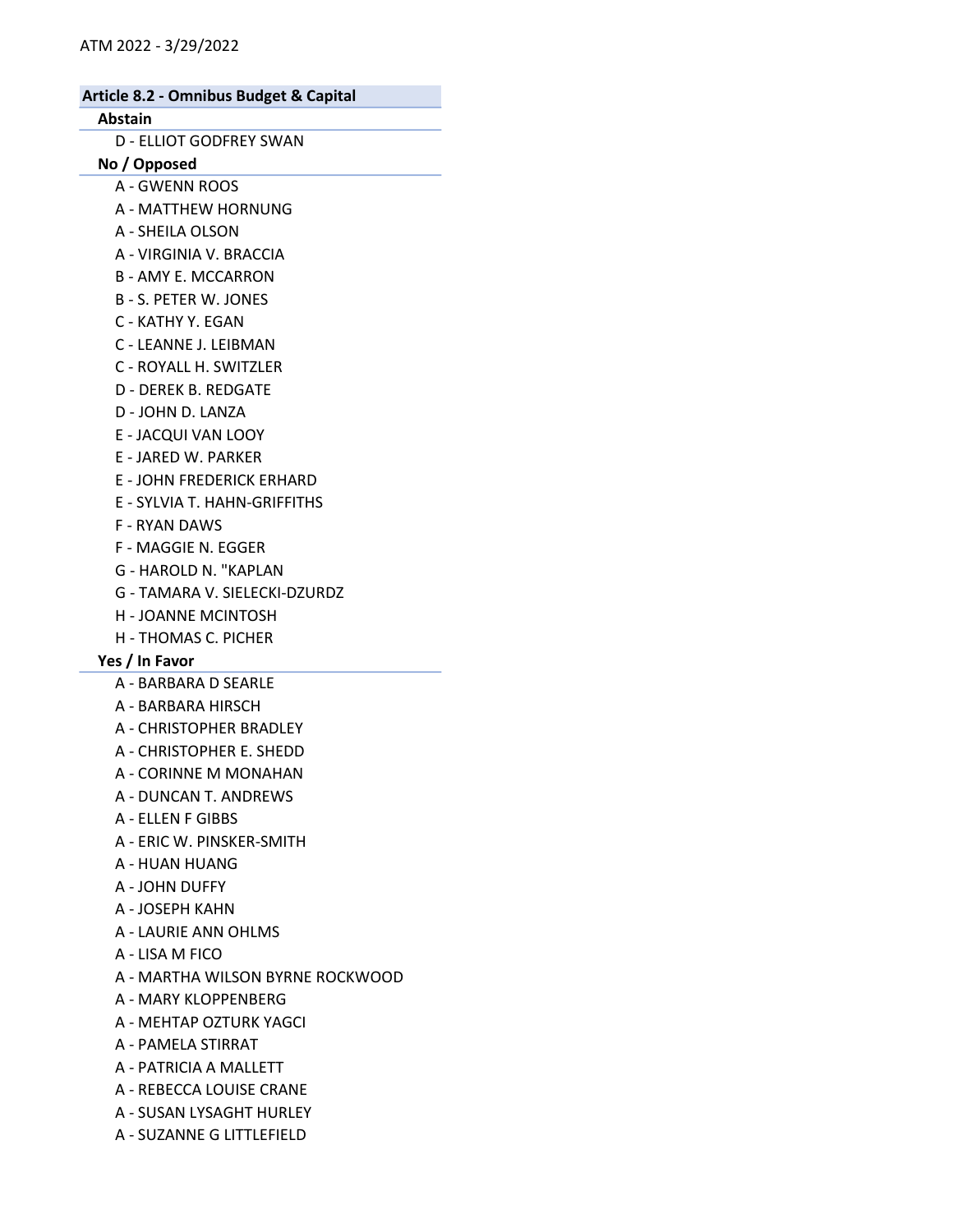# Abstain

D - ELLIOT GODFREY SWAN

No / Opposed

- A GWENN ROOS
- A MATTHEW HORNUNG
- A SHEILA OLSON
- A VIRGINIA V. BRACCIA
- B AMY E. MCCARRON
- B S. PETER W. JONES
- C KATHY Y. EGAN
- C LEANNE J. LEIBMAN
- C ROYALL H. SWITZLER
- D DEREK B. REDGATE
- D JOHN D. LANZA
- E JACQUI VAN LOOY
- E JARED W. PARKER
- E JOHN FREDERICK ERHARD
- E SYLVIA T. HAHN-GRIFFITHS
- F RYAN DAWS
- F MAGGIE N. EGGER
- G HAROLD N. "KAPLAN
- G TAMARA V. SIELECKI-DZURDZ
- H JOANNE MCINTOSH
- H THOMAS C. PICHER

#### Yes / In Favor

- A BARBARA D SEARLE
- A BARBARA HIRSCH
- A CHRISTOPHER BRADLEY
- A CHRISTOPHER E. SHEDD
- A CORINNE M MONAHAN
- A DUNCAN T. ANDREWS
- A ELLEN F GIBBS
- A ERIC W. PINSKER-SMITH
- A HUAN HUANG
- A JOHN DUFFY
- A JOSEPH KAHN
- A LAURIE ANN OHLMS
- A LISA M FICO
- A MARTHA WILSON BYRNE ROCKWOOD
- A MARY KLOPPENBERG
- A MEHTAP OZTURK YAGCI
- A PAMELA STIRRAT
- A PATRICIA A MALLETT
- A REBECCA LOUISE CRANE
- A SUSAN LYSAGHT HURLEY
- A SUZANNE G LITTLEFIELD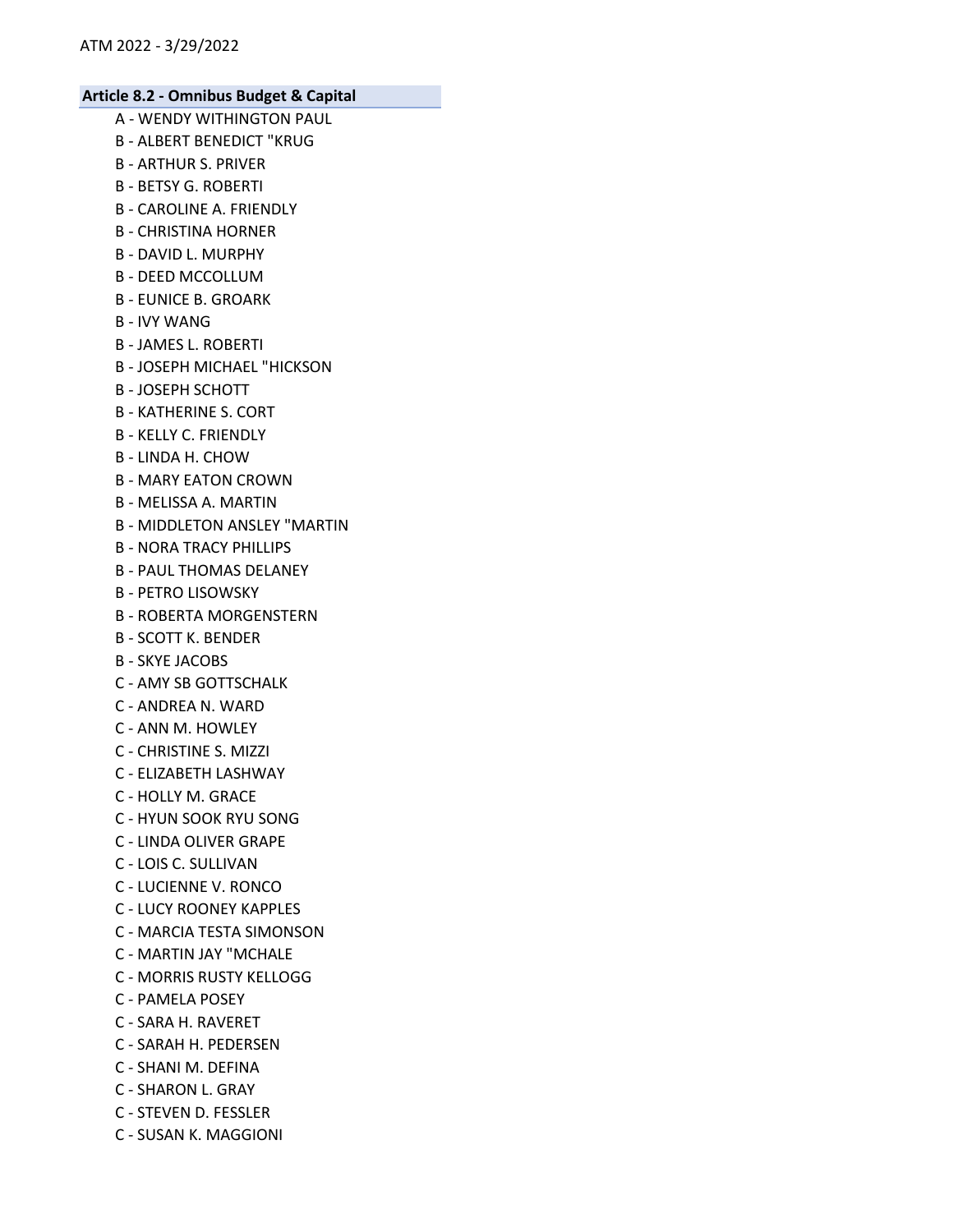- A WENDY WITHINGTON PAUL
- B ALBERT BENEDICT "KRUG
- B ARTHUR S. PRIVER
- B BETSY G. ROBERTI
- B CAROLINE A. FRIENDLY
- B CHRISTINA HORNER
- B DAVID L. MURPHY
- B DEED MCCOLLUM
- B EUNICE B. GROARK
- B IVY WANG
- B JAMES L. ROBERTI
- B JOSEPH MICHAEL "HICKSON
- B JOSEPH SCHOTT
- B KATHERINE S. CORT
- B KELLY C. FRIENDLY
- B LINDA H. CHOW
- B MARY EATON CROWN
- B MELISSA A. MARTIN
- B MIDDLETON ANSLEY "MARTIN
- B NORA TRACY PHILLIPS
- B PAUL THOMAS DELANEY
- B PETRO LISOWSKY
- B ROBERTA MORGENSTERN
- B SCOTT K. BENDER
- B SKYE JACOBS
- C AMY SB GOTTSCHALK
- C ANDREA N. WARD
- C ANN M. HOWLEY
- C CHRISTINE S. MIZZI
- C ELIZABETH LASHWAY
- C HOLLY M. GRACE
- C HYUN SOOK RYU SONG
- C LINDA OLIVER GRAPE
- C LOIS C. SULLIVAN
- C LUCIENNE V. RONCO
- C LUCY ROONEY KAPPLES
- C MARCIA TESTA SIMONSON
- C MARTIN JAY "MCHALE
- C MORRIS RUSTY KELLOGG
- C PAMELA POSEY
- C SARA H. RAVERET
- C SARAH H. PEDERSEN
- C SHANI M. DEFINA
- C SHARON L. GRAY
- C STEVEN D. FESSLER
- C SUSAN K. MAGGIONI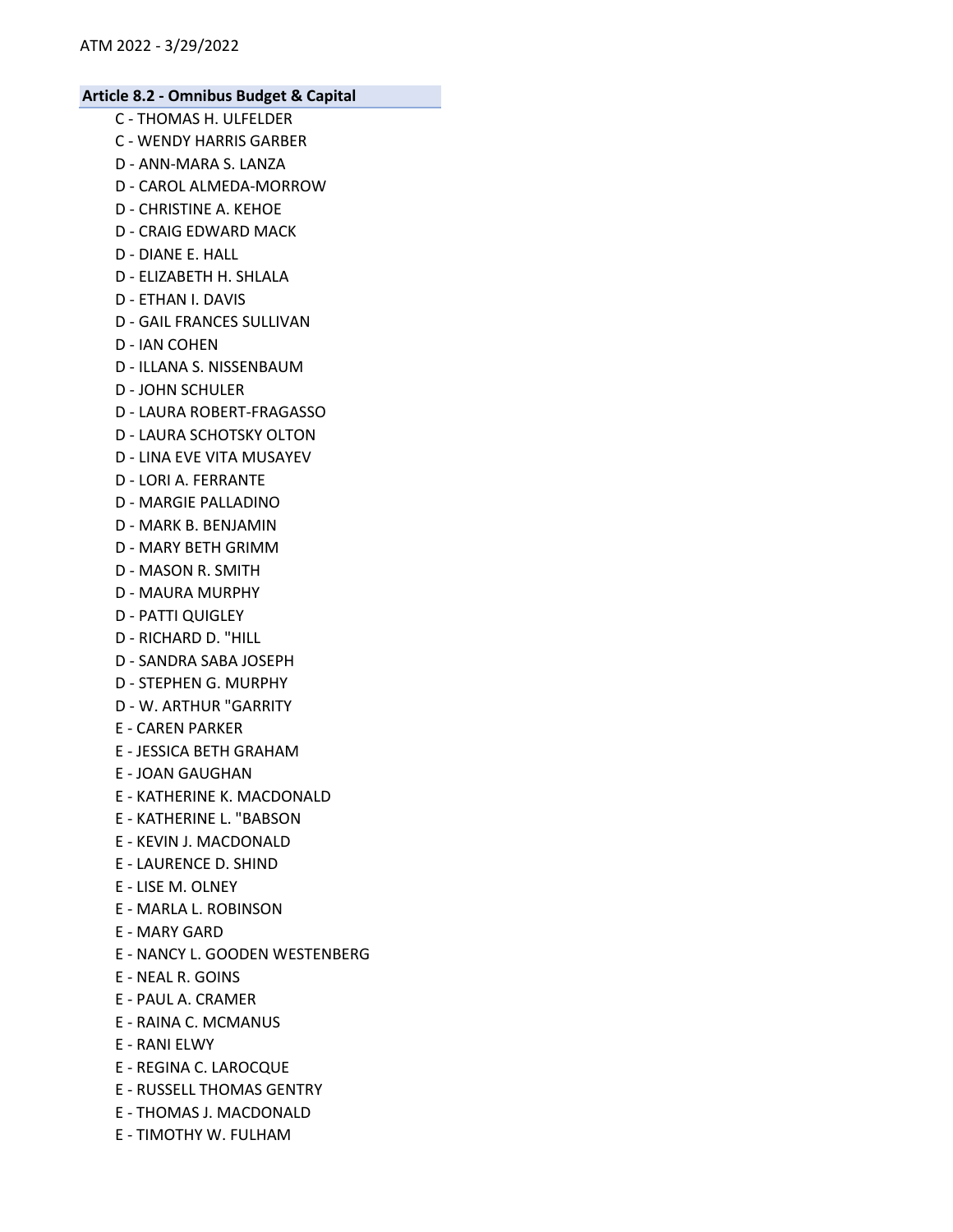- C THOMAS H. ULFELDER
- C WENDY HARRIS GARBER
- D ANN-MARA S. LANZA
- D CAROL ALMEDA-MORROW
- D CHRISTINE A. KEHOE
- D CRAIG EDWARD MACK
- D DIANE E. HALL
- D ELIZABETH H. SHLALA
- D ETHAN I. DAVIS
- D GAIL FRANCES SULLIVAN
- D IAN COHEN
- D ILLANA S. NISSENBAUM
- D JOHN SCHULER
- D LAURA ROBERT-FRAGASSO
- D LAURA SCHOTSKY OLTON
- D LINA EVE VITA MUSAYEV
- D LORI A. FERRANTE
- D MARGIE PALLADINO
- D MARK B. BENJAMIN
- D MARY BETH GRIMM
- D MASON R. SMITH
- D MAURA MURPHY
- D PATTI QUIGLEY
- D RICHARD D. "HILL
- D SANDRA SABA JOSEPH
- D STEPHEN G. MURPHY
- D W. ARTHUR "GARRITY
- E CAREN PARKER
- E JESSICA BETH GRAHAM
- E JOAN GAUGHAN
- E KATHERINE K. MACDONALD
- E KATHERINE L. "BABSON
- E KEVIN J. MACDONALD
- E LAURENCE D. SHIND
- E LISE M. OLNEY
- E MARLA L. ROBINSON
- E MARY GARD
- E NANCY L. GOODEN WESTENBERG
- E NEAL R. GOINS
- E PAUL A. CRAMER
- E RAINA C. MCMANUS
- E RANI ELWY
- E REGINA C. LAROCQUE
- E RUSSELL THOMAS GENTRY
- E THOMAS J. MACDONALD
- E TIMOTHY W. FULHAM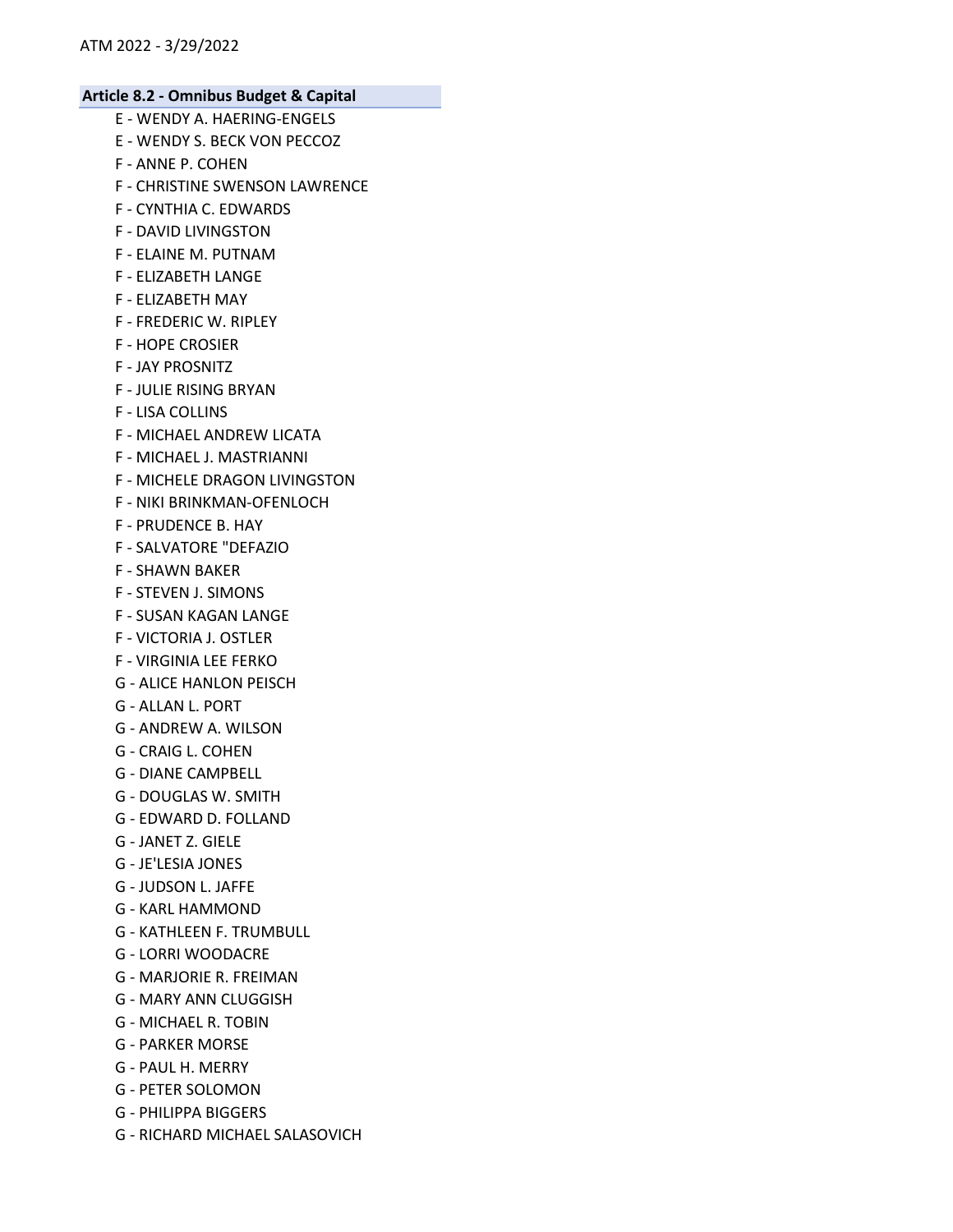- E WENDY A. HAERING-ENGELS
- E WENDY S. BECK VON PECCOZ
- F ANNE P. COHEN
- F CHRISTINE SWENSON LAWRENCE
- F CYNTHIA C. EDWARDS
- F DAVID LIVINGSTON
- F ELAINE M. PUTNAM
- F ELIZABETH LANGE
- F ELIZABETH MAY
- F FREDERIC W. RIPLEY
- F HOPE CROSIER
- F JAY PROSNITZ
- F JULIE RISING BRYAN
- F LISA COLLINS
- F MICHAEL ANDREW LICATA
- F MICHAEL J. MASTRIANNI
- F MICHELE DRAGON LIVINGSTON
- F NIKI BRINKMAN-OFENLOCH
- F PRUDENCE B. HAY
- F SALVATORE "DEFAZIO
- F SHAWN BAKER
- F STEVEN J. SIMONS
- F SUSAN KAGAN LANGE
- F VICTORIA J. OSTLER
- F VIRGINIA LEE FERKO
- G ALICE HANLON PEISCH
- G ALLAN L. PORT
- G ANDREW A. WILSON
- G CRAIG L. COHEN
- G DIANE CAMPBELL
- G DOUGLAS W. SMITH
- G EDWARD D. FOLLAND
- G JANET Z. GIELE
- G JE'LESIA JONES
- G JUDSON L. JAFFE
- G KARL HAMMOND
- G KATHLEEN F. TRUMBULL
- G LORRI WOODACRE
- G MARJORIE R. FREIMAN
- G MARY ANN CLUGGISH
- G MICHAEL R. TOBIN
- G PARKER MORSE
- G PAUL H. MERRY
- G PETER SOLOMON
- G PHILIPPA BIGGERS
- G RICHARD MICHAEL SALASOVICH